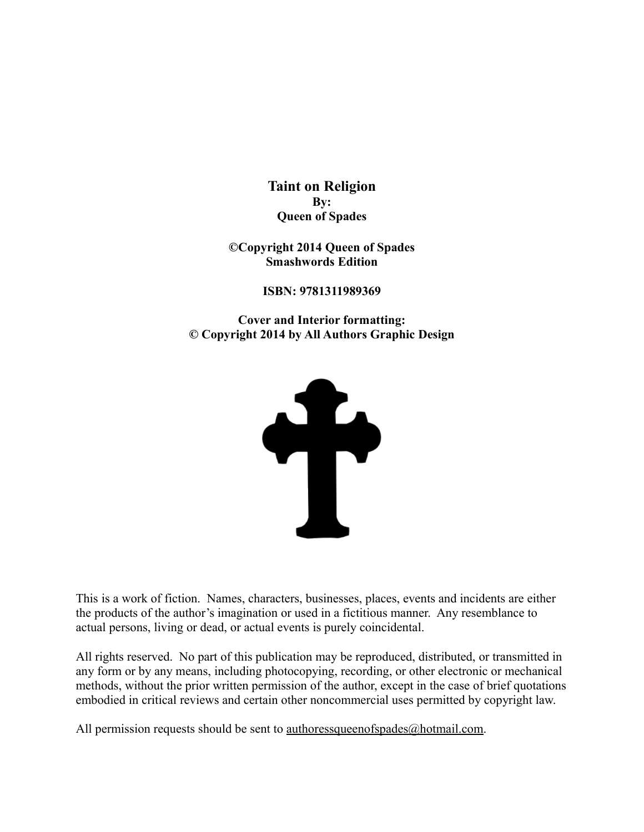**Taint on Religion By: Queen of Spades**

**©Copyright 2014 Queen of Spades Smashwords Edition**

**ISBN: 9781311989369**

**Cover and Interior formatting: © Copyright 2014 by All Authors Graphic Design**



This is a work of fiction. Names, characters, businesses, places, events and incidents are either the products of the author's imagination or used in a fictitious manner. Any resemblance to actual persons, living or dead, or actual events is purely coincidental.

All rights reserved. No part of this publication may be reproduced, distributed, or transmitted in any form or by any means, including photocopying, recording, or other electronic or mechanical methods, without the prior written permission of the author, except in the case of brief quotations embodied in critical reviews and certain other noncommercial uses permitted by copyright law.

All permission requests should be sent to <u>authoressqueenofspades@hotmail.com</u>.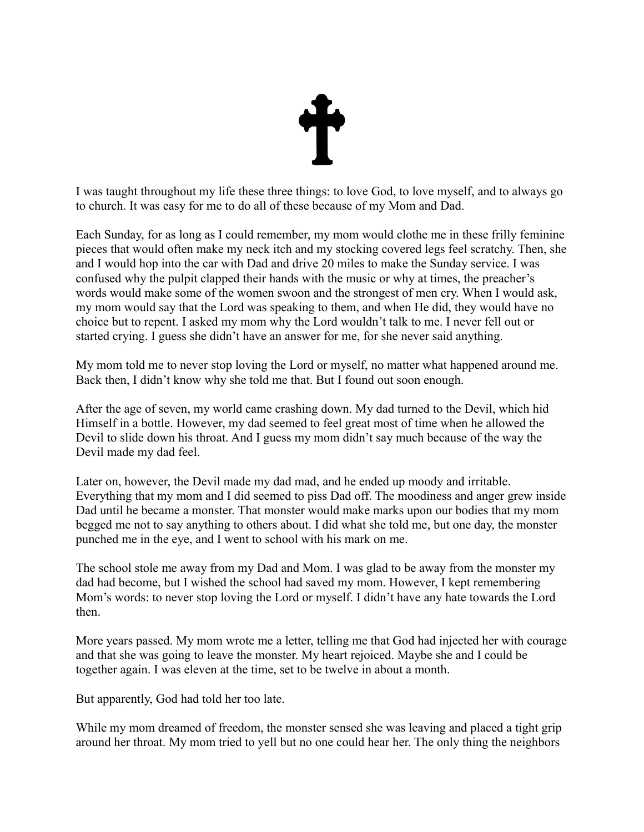

I was taught throughout my life these three things: to love God, to love myself, and to always go to church. It was easy for me to do all of these because of my Mom and Dad.

Each Sunday, for as long as I could remember, my mom would clothe me in these frilly feminine pieces that would often make my neck itch and my stocking covered legs feel scratchy. Then, she and I would hop into the car with Dad and drive 20 miles to make the Sunday service. I was confused why the pulpit clapped their hands with the music or why at times, the preacher's words would make some of the women swoon and the strongest of men cry. When I would ask, my mom would say that the Lord was speaking to them, and when He did, they would have no choice but to repent. I asked my mom why the Lord wouldn't talk to me. I never fell out or started crying. I guess she didn't have an answer for me, for she never said anything.

My mom told me to never stop loving the Lord or myself, no matter what happened around me. Back then, I didn't know why she told me that. But I found out soon enough.

After the age of seven, my world came crashing down. My dad turned to the Devil, which hid Himself in a bottle. However, my dad seemed to feel great most of time when he allowed the Devil to slide down his throat. And I guess my mom didn't say much because of the way the Devil made my dad feel.

Later on, however, the Devil made my dad mad, and he ended up moody and irritable. Everything that my mom and I did seemed to piss Dad off. The moodiness and anger grew inside Dad until he became a monster. That monster would make marks upon our bodies that my mom begged me not to say anything to others about. I did what she told me, but one day, the monster punched me in the eye, and I went to school with his mark on me.

The school stole me away from my Dad and Mom. I was glad to be away from the monster my dad had become, but I wished the school had saved my mom. However, I kept remembering Mom's words: to never stop loving the Lord or myself. I didn't have any hate towards the Lord then.

More years passed. My mom wrote me a letter, telling me that God had injected her with courage and that she was going to leave the monster. My heart rejoiced. Maybe she and I could be together again. I was eleven at the time, set to be twelve in about a month.

But apparently, God had told her too late.

While my mom dreamed of freedom, the monster sensed she was leaving and placed a tight grip around her throat. My mom tried to yell but no one could hear her. The only thing the neighbors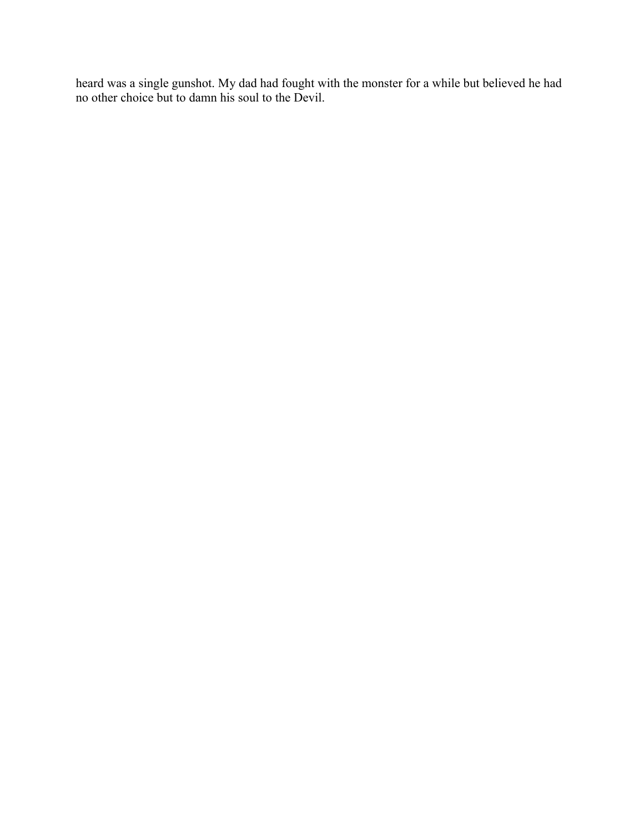heard was a single gunshot. My dad had fought with the monster for a while but believed he had no other choice but to damn his soul to the Devil.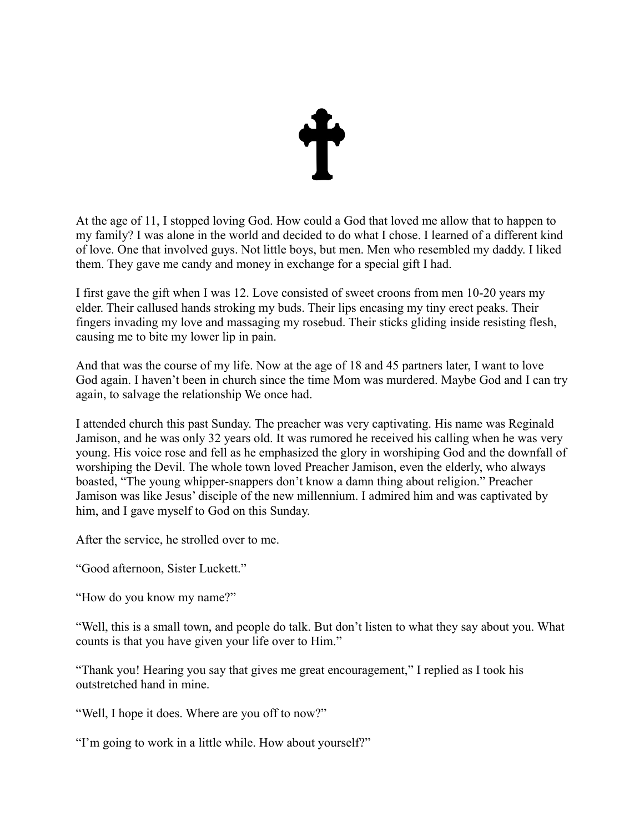

At the age of 11, I stopped loving God. How could a God that loved me allow that to happen to my family? I was alone in the world and decided to do what I chose. I learned of a different kind of love. One that involved guys. Not little boys, but men. Men who resembled my daddy. I liked them. They gave me candy and money in exchange for a special gift I had.

I first gave the gift when I was 12. Love consisted of sweet croons from men 10-20 years my elder. Their callused hands stroking my buds. Their lips encasing my tiny erect peaks. Their fingers invading my love and massaging my rosebud. Their sticks gliding inside resisting flesh, causing me to bite my lower lip in pain.

And that was the course of my life. Now at the age of 18 and 45 partners later, I want to love God again. I haven't been in church since the time Mom was murdered. Maybe God and I can try again, to salvage the relationship We once had.

I attended church this past Sunday. The preacher was very captivating. His name was Reginald Jamison, and he was only 32 years old. It was rumored he received his calling when he was very young. His voice rose and fell as he emphasized the glory in worshiping God and the downfall of worshiping the Devil. The whole town loved Preacher Jamison, even the elderly, who always boasted, "The young whipper-snappers don't know a damn thing about religion." Preacher Jamison was like Jesus' disciple of the new millennium. I admired him and was captivated by him, and I gave myself to God on this Sunday.

After the service, he strolled over to me.

- "Good afternoon, Sister Luckett."
- "How do you know my name?"

"Well, this is a small town, and people do talk. But don't listen to what they say about you. What counts is that you have given your life over to Him."

"Thank you! Hearing you say that gives me great encouragement," I replied as I took his outstretched hand in mine.

"Well, I hope it does. Where are you off to now?"

"I'm going to work in a little while. How about yourself?"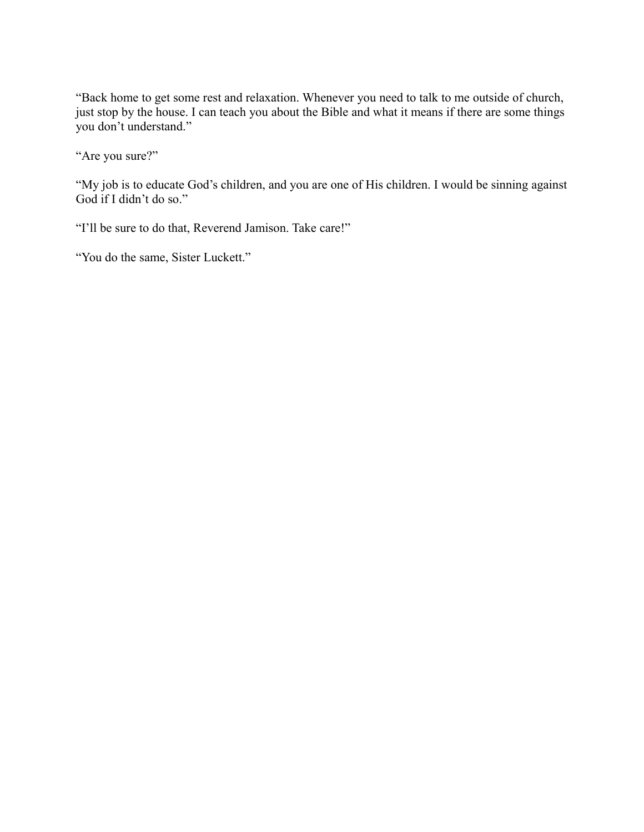"Back home to get some rest and relaxation. Whenever you need to talk to me outside of church, just stop by the house. I can teach you about the Bible and what it means if there are some things you don't understand."

"Are you sure?"

"My job is to educate God's children, and you are one of His children. I would be sinning against God if I didn't do so."

"I'll be sure to do that, Reverend Jamison. Take care!"

"You do the same, Sister Luckett."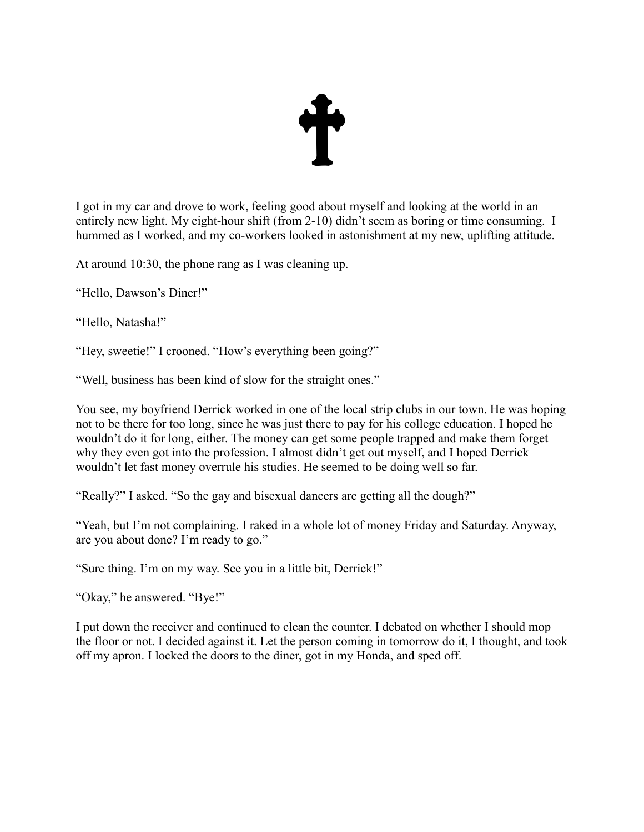

I got in my car and drove to work, feeling good about myself and looking at the world in an entirely new light. My eight-hour shift (from 2-10) didn't seem as boring or time consuming. I hummed as I worked, and my co-workers looked in astonishment at my new, uplifting attitude.

At around 10:30, the phone rang as I was cleaning up.

"Hello, Dawson's Diner!"

"Hello, Natasha!"

"Hey, sweetie!" I crooned. "How's everything been going?"

"Well, business has been kind of slow for the straight ones."

You see, my boyfriend Derrick worked in one of the local strip clubs in our town. He was hoping not to be there for too long, since he was just there to pay for his college education. I hoped he wouldn't do it for long, either. The money can get some people trapped and make them forget why they even got into the profession. I almost didn't get out myself, and I hoped Derrick wouldn't let fast money overrule his studies. He seemed to be doing well so far.

"Really?" I asked. "So the gay and bisexual dancers are getting all the dough?"

"Yeah, but I'm not complaining. I raked in a whole lot of money Friday and Saturday. Anyway, are you about done? I'm ready to go."

"Sure thing. I'm on my way. See you in a little bit, Derrick!"

"Okay," he answered. "Bye!"

I put down the receiver and continued to clean the counter. I debated on whether I should mop the floor or not. I decided against it. Let the person coming in tomorrow do it, I thought, and took off my apron. I locked the doors to the diner, got in my Honda, and sped off.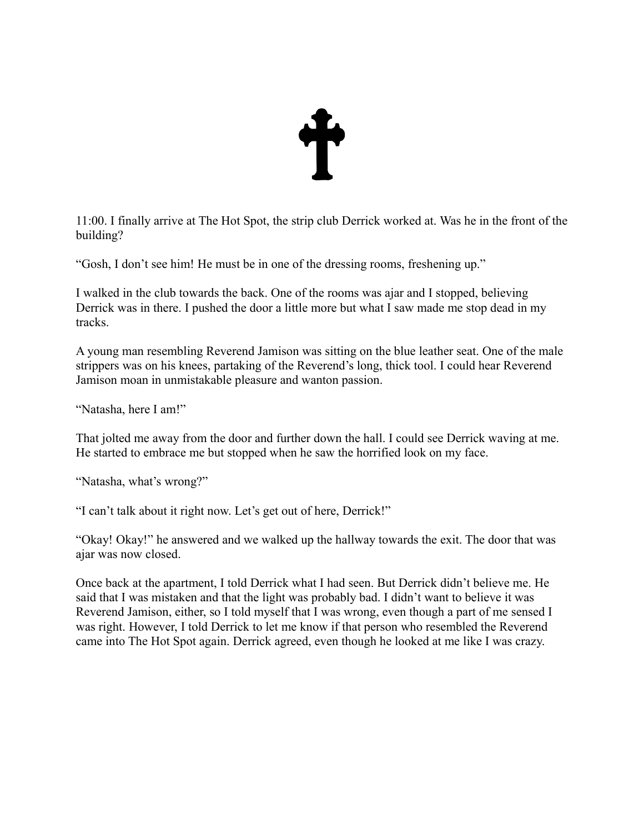

11:00. I finally arrive at The Hot Spot, the strip club Derrick worked at. Was he in the front of the building?

"Gosh, I don't see him! He must be in one of the dressing rooms, freshening up."

I walked in the club towards the back. One of the rooms was ajar and I stopped, believing Derrick was in there. I pushed the door a little more but what I saw made me stop dead in my tracks.

A young man resembling Reverend Jamison was sitting on the blue leather seat. One of the male strippers was on his knees, partaking of the Reverend's long, thick tool. I could hear Reverend Jamison moan in unmistakable pleasure and wanton passion.

"Natasha, here I am!"

That jolted me away from the door and further down the hall. I could see Derrick waving at me. He started to embrace me but stopped when he saw the horrified look on my face.

"Natasha, what's wrong?"

"I can't talk about it right now. Let's get out of here, Derrick!"

"Okay! Okay!" he answered and we walked up the hallway towards the exit. The door that was ajar was now closed.

Once back at the apartment, I told Derrick what I had seen. But Derrick didn't believe me. He said that I was mistaken and that the light was probably bad. I didn't want to believe it was Reverend Jamison, either, so I told myself that I was wrong, even though a part of me sensed I was right. However, I told Derrick to let me know if that person who resembled the Reverend came into The Hot Spot again. Derrick agreed, even though he looked at me like I was crazy.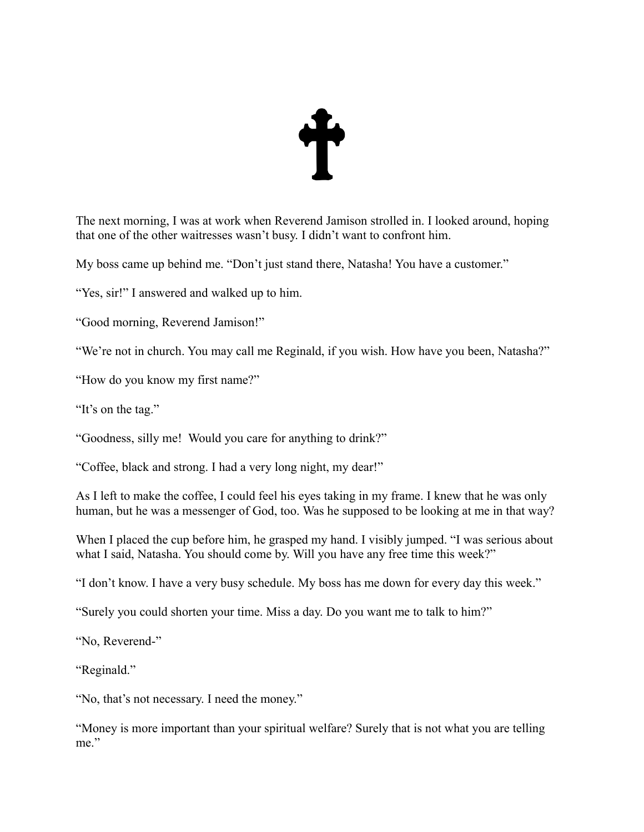

The next morning, I was at work when Reverend Jamison strolled in. I looked around, hoping that one of the other waitresses wasn't busy. I didn't want to confront him.

My boss came up behind me. "Don't just stand there, Natasha! You have a customer."

"Yes, sir!" I answered and walked up to him.

"Good morning, Reverend Jamison!"

"We're not in church. You may call me Reginald, if you wish. How have you been, Natasha?"

"How do you know my first name?"

"It's on the tag."

"Goodness, silly me! Would you care for anything to drink?"

"Coffee, black and strong. I had a very long night, my dear!"

As I left to make the coffee, I could feel his eyes taking in my frame. I knew that he was only human, but he was a messenger of God, too. Was he supposed to be looking at me in that way?

When I placed the cup before him, he grasped my hand. I visibly jumped. "I was serious about what I said, Natasha. You should come by. Will you have any free time this week?"

"I don't know. I have a very busy schedule. My boss has me down for every day this week."

"Surely you could shorten your time. Miss a day. Do you want me to talk to him?"

"No, Reverend-"

"Reginald."

"No, that's not necessary. I need the money."

"Money is more important than your spiritual welfare? Surely that is not what you are telling me."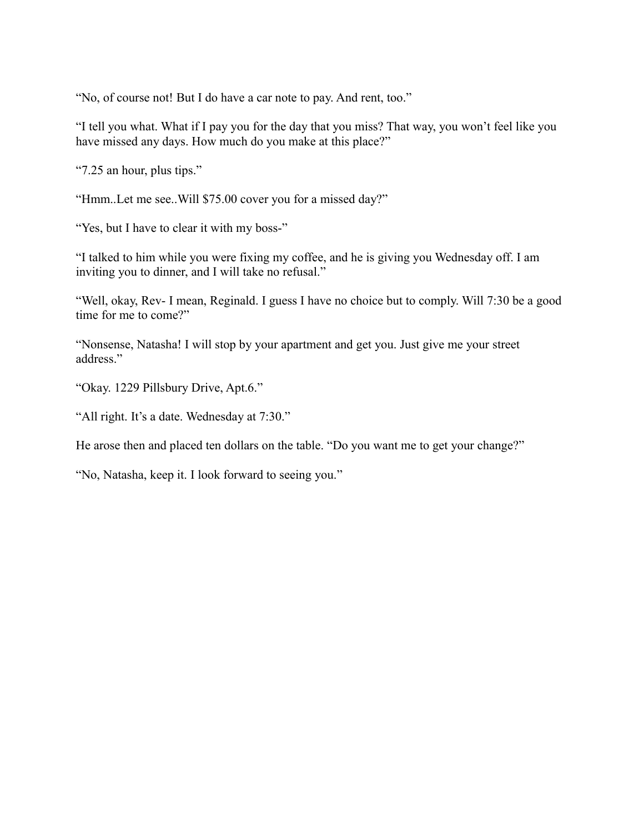"No, of course not! But I do have a car note to pay. And rent, too."

"I tell you what. What if I pay you for the day that you miss? That way, you won't feel like you have missed any days. How much do you make at this place?"

"7.25 an hour, plus tips."

"Hmm..Let me see..Will \$75.00 cover you for a missed day?"

"Yes, but I have to clear it with my boss-"

"I talked to him while you were fixing my coffee, and he is giving you Wednesday off. I am inviting you to dinner, and I will take no refusal."

"Well, okay, Rev- I mean, Reginald. I guess I have no choice but to comply. Will 7:30 be a good time for me to come?"

"Nonsense, Natasha! I will stop by your apartment and get you. Just give me your street address."

"Okay. 1229 Pillsbury Drive, Apt.6."

"All right. It's a date. Wednesday at 7:30."

He arose then and placed ten dollars on the table. "Do you want me to get your change?"

"No, Natasha, keep it. I look forward to seeing you."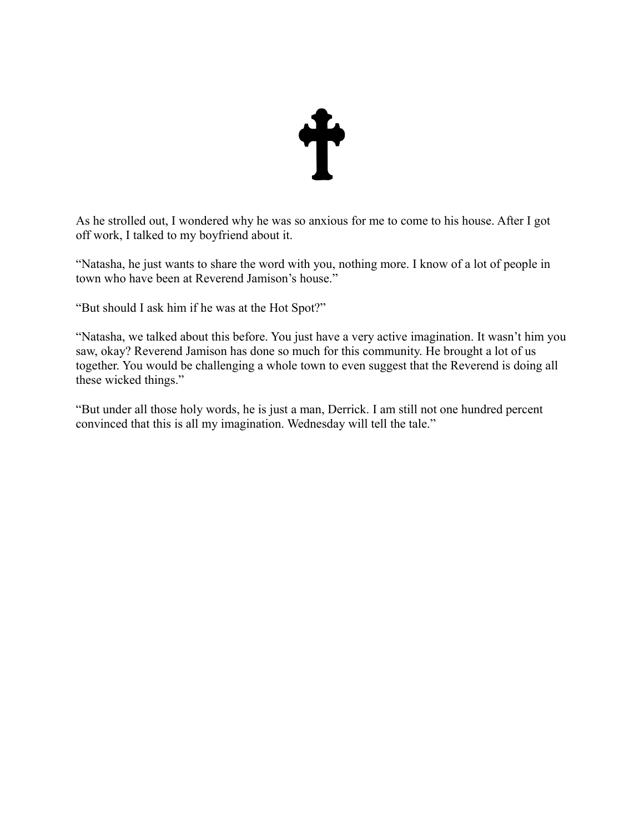

As he strolled out, I wondered why he was so anxious for me to come to his house. After I got off work, I talked to my boyfriend about it.

"Natasha, he just wants to share the word with you, nothing more. I know of a lot of people in town who have been at Reverend Jamison's house."

"But should I ask him if he was at the Hot Spot?"

"Natasha, we talked about this before. You just have a very active imagination. It wasn't him you saw, okay? Reverend Jamison has done so much for this community. He brought a lot of us together. You would be challenging a whole town to even suggest that the Reverend is doing all these wicked things."

"But under all those holy words, he is just a man, Derrick. I am still not one hundred percent convinced that this is all my imagination. Wednesday will tell the tale."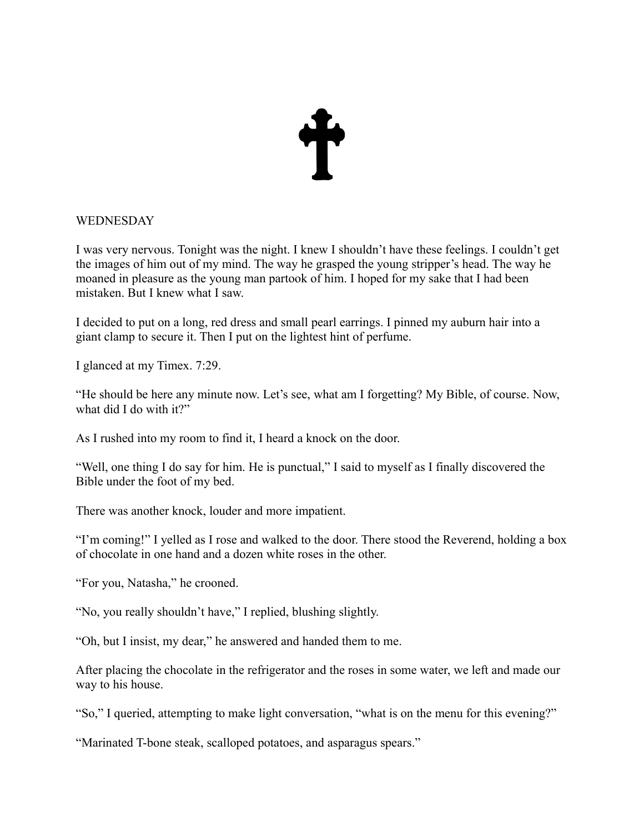

### **WEDNESDAY**

I was very nervous. Tonight was the night. I knew I shouldn't have these feelings. I couldn't get the images of him out of my mind. The way he grasped the young stripper's head. The way he moaned in pleasure as the young man partook of him. I hoped for my sake that I had been mistaken. But I knew what I saw.

I decided to put on a long, red dress and small pearl earrings. I pinned my auburn hair into a giant clamp to secure it. Then I put on the lightest hint of perfume.

I glanced at my Timex. 7:29.

"He should be here any minute now. Let's see, what am I forgetting? My Bible, of course. Now, what did I do with it?"

As I rushed into my room to find it, I heard a knock on the door.

"Well, one thing I do say for him. He is punctual," I said to myself as I finally discovered the Bible under the foot of my bed.

There was another knock, louder and more impatient.

"I'm coming!" I yelled as I rose and walked to the door. There stood the Reverend, holding a box of chocolate in one hand and a dozen white roses in the other.

"For you, Natasha," he crooned.

"No, you really shouldn't have," I replied, blushing slightly.

"Oh, but I insist, my dear," he answered and handed them to me.

After placing the chocolate in the refrigerator and the roses in some water, we left and made our way to his house.

"So," I queried, attempting to make light conversation, "what is on the menu for this evening?"

"Marinated T-bone steak, scalloped potatoes, and asparagus spears."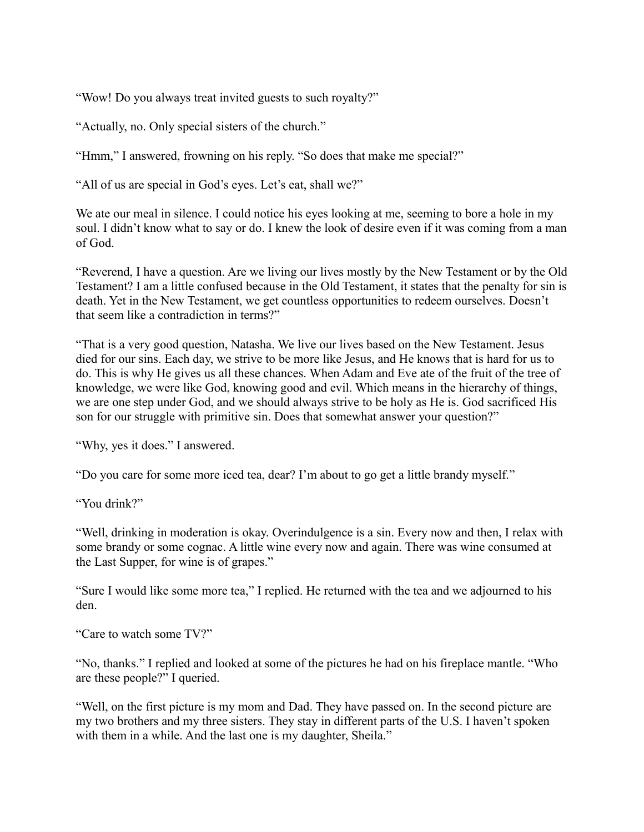"Wow! Do you always treat invited guests to such royalty?"

"Actually, no. Only special sisters of the church."

"Hmm," I answered, frowning on his reply. "So does that make me special?"

"All of us are special in God's eyes. Let's eat, shall we?"

We ate our meal in silence. I could notice his eyes looking at me, seeming to bore a hole in my soul. I didn't know what to say or do. I knew the look of desire even if it was coming from a man of God.

"Reverend, I have a question. Are we living our lives mostly by the New Testament or by the Old Testament? I am a little confused because in the Old Testament, it states that the penalty for sin is death. Yet in the New Testament, we get countless opportunities to redeem ourselves. Doesn't that seem like a contradiction in terms?"

"That is a very good question, Natasha. We live our lives based on the New Testament. Jesus died for our sins. Each day, we strive to be more like Jesus, and He knows that is hard for us to do. This is why He gives us all these chances. When Adam and Eve ate of the fruit of the tree of knowledge, we were like God, knowing good and evil. Which means in the hierarchy of things, we are one step under God, and we should always strive to be holy as He is. God sacrificed His son for our struggle with primitive sin. Does that somewhat answer your question?"

"Why, yes it does." I answered.

"Do you care for some more iced tea, dear? I'm about to go get a little brandy myself."

"You drink?"

"Well, drinking in moderation is okay. Overindulgence is a sin. Every now and then, I relax with some brandy or some cognac. A little wine every now and again. There was wine consumed at the Last Supper, for wine is of grapes."

"Sure I would like some more tea," I replied. He returned with the tea and we adjourned to his den.

"Care to watch some TV?"

"No, thanks." I replied and looked at some of the pictures he had on his fireplace mantle. "Who are these people?" I queried.

"Well, on the first picture is my mom and Dad. They have passed on. In the second picture are my two brothers and my three sisters. They stay in different parts of the U.S. I haven't spoken with them in a while. And the last one is my daughter, Sheila."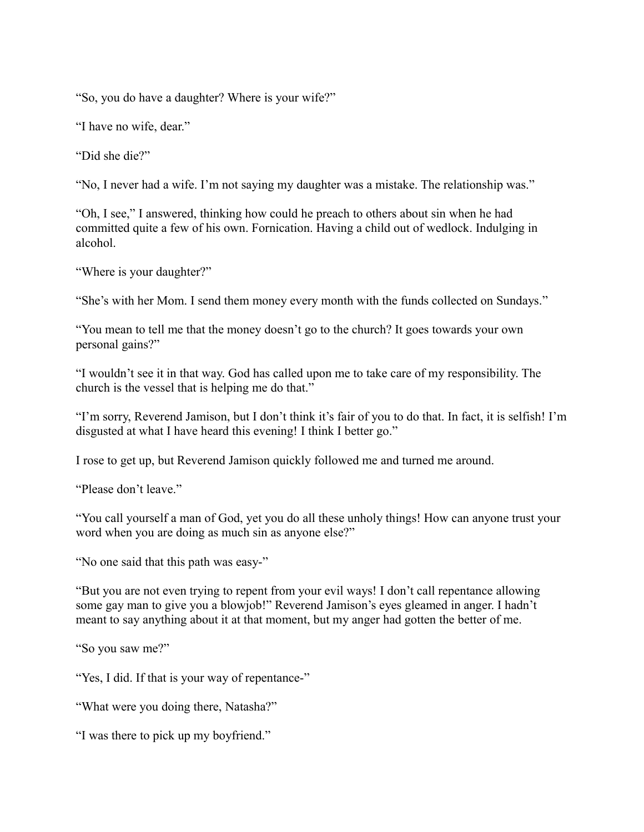"So, you do have a daughter? Where is your wife?"

"I have no wife, dear."

"Did she die?"

"No, I never had a wife. I'm not saying my daughter was a mistake. The relationship was."

"Oh, I see," I answered, thinking how could he preach to others about sin when he had committed quite a few of his own. Fornication. Having a child out of wedlock. Indulging in alcohol.

"Where is your daughter?"

"She's with her Mom. I send them money every month with the funds collected on Sundays."

"You mean to tell me that the money doesn't go to the church? It goes towards your own personal gains?"

"I wouldn't see it in that way. God has called upon me to take care of my responsibility. The church is the vessel that is helping me do that."

"I'm sorry, Reverend Jamison, but I don't think it's fair of you to do that. In fact, it is selfish! I'm disgusted at what I have heard this evening! I think I better go."

I rose to get up, but Reverend Jamison quickly followed me and turned me around.

"Please don't leave."

"You call yourself a man of God, yet you do all these unholy things! How can anyone trust your word when you are doing as much sin as anyone else?"

"No one said that this path was easy-"

"But you are not even trying to repent from your evil ways! I don't call repentance allowing some gay man to give you a blowjob!" Reverend Jamison's eyes gleamed in anger. I hadn't meant to say anything about it at that moment, but my anger had gotten the better of me.

"So you saw me?"

"Yes, I did. If that is your way of repentance-"

"What were you doing there, Natasha?"

"I was there to pick up my boyfriend."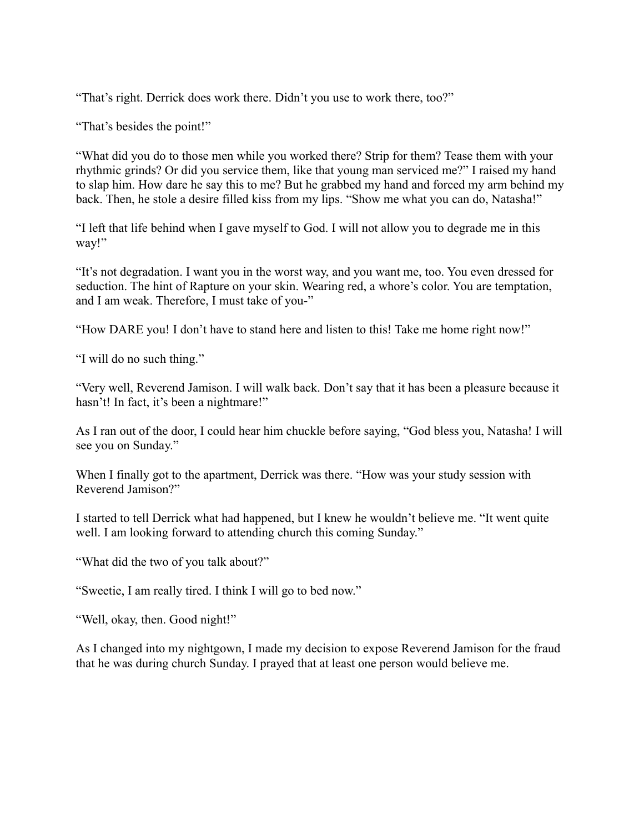"That's right. Derrick does work there. Didn't you use to work there, too?"

"That's besides the point!"

"What did you do to those men while you worked there? Strip for them? Tease them with your rhythmic grinds? Or did you service them, like that young man serviced me?" I raised my hand to slap him. How dare he say this to me? But he grabbed my hand and forced my arm behind my back. Then, he stole a desire filled kiss from my lips. "Show me what you can do, Natasha!"

"I left that life behind when I gave myself to God. I will not allow you to degrade me in this way!"

"It's not degradation. I want you in the worst way, and you want me, too. You even dressed for seduction. The hint of Rapture on your skin. Wearing red, a whore's color. You are temptation, and I am weak. Therefore, I must take of you-"

"How DARE you! I don't have to stand here and listen to this! Take me home right now!"

"I will do no such thing."

"Very well, Reverend Jamison. I will walk back. Don't say that it has been a pleasure because it hasn't! In fact, it's been a nightmare!"

As I ran out of the door, I could hear him chuckle before saying, "God bless you, Natasha! I will see you on Sunday."

When I finally got to the apartment, Derrick was there. "How was your study session with Reverend Jamison?"

I started to tell Derrick what had happened, but I knew he wouldn't believe me. "It went quite well. I am looking forward to attending church this coming Sunday."

"What did the two of you talk about?"

"Sweetie, I am really tired. I think I will go to bed now."

"Well, okay, then. Good night!"

As I changed into my nightgown, I made my decision to expose Reverend Jamison for the fraud that he was during church Sunday. I prayed that at least one person would believe me.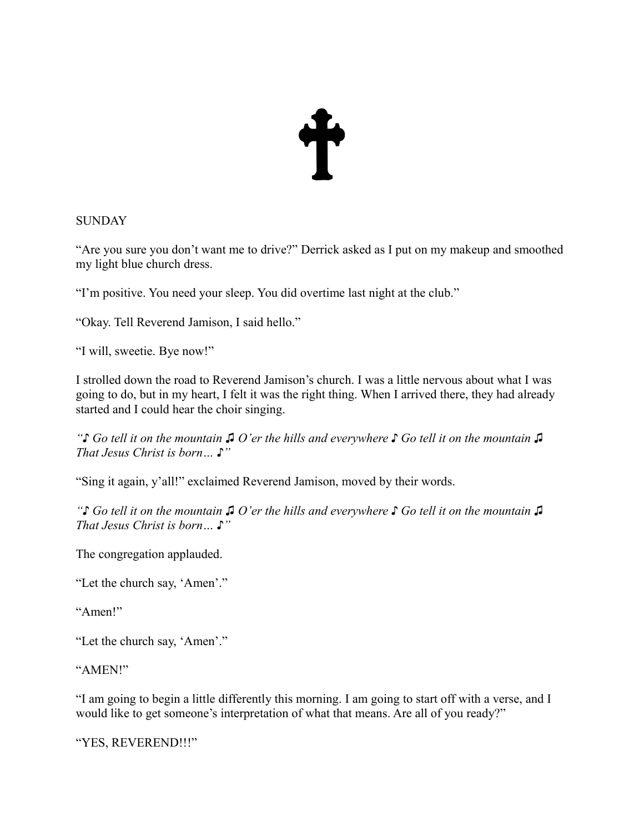

## **SUNDAY**

"Are you sure you don't want me to drive?" Derrick asked as I put on my makeup and smoothed my light blue church dress.

"I'm positive. You need your sleep. You did overtime last night at the club."

"Okay. Tell Reverend Jamison, I said hello."

"I will, sweetie. Bye now!"

I strolled down the road to Reverend Jamison's church. I was a little nervous about what I was going to do, but in my heart, I felt it was the right thing. When I arrived there, they had already started and I could hear the choir singing.

*"♪ Go tell it on the mountain ♫ O'er the hills and everywhere ♪ Go tell it on the mountain ♫ That Jesus Christ is born… ♪"*

"Sing it again, y'all!" exclaimed Reverend Jamison, moved by their words.

*"♪ Go tell it on the mountain ♫ O'er the hills and everywhere ♪ Go tell it on the mountain ♫ That Jesus Christ is born… ♪"*

The congregation applauded.

"Let the church say, 'Amen'."

"Amen!"

"Let the church say, 'Amen'."

"AMEN!"

"I am going to begin a little differently this morning. I am going to start off with a verse, and I would like to get someone's interpretation of what that means. Are all of you ready?"

"YES, REVEREND!!!"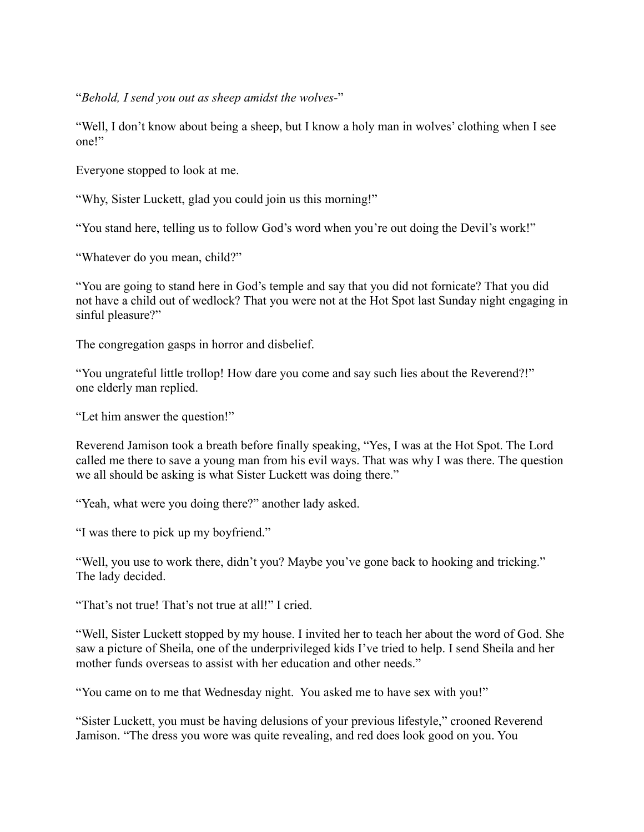"*Behold, I send you out as sheep amidst the wolves-*"

"Well, I don't know about being a sheep, but I know a holy man in wolves' clothing when I see one!"

Everyone stopped to look at me.

"Why, Sister Luckett, glad you could join us this morning!"

"You stand here, telling us to follow God's word when you're out doing the Devil's work!"

"Whatever do you mean, child?"

"You are going to stand here in God's temple and say that you did not fornicate? That you did not have a child out of wedlock? That you were not at the Hot Spot last Sunday night engaging in sinful pleasure?"

The congregation gasps in horror and disbelief.

"You ungrateful little trollop! How dare you come and say such lies about the Reverend?!" one elderly man replied.

"Let him answer the question!"

Reverend Jamison took a breath before finally speaking, "Yes, I was at the Hot Spot. The Lord called me there to save a young man from his evil ways. That was why I was there. The question we all should be asking is what Sister Luckett was doing there."

"Yeah, what were you doing there?" another lady asked.

"I was there to pick up my boyfriend."

"Well, you use to work there, didn't you? Maybe you've gone back to hooking and tricking." The lady decided.

"That's not true! That's not true at all!" I cried.

"Well, Sister Luckett stopped by my house. I invited her to teach her about the word of God. She saw a picture of Sheila, one of the underprivileged kids I've tried to help. I send Sheila and her mother funds overseas to assist with her education and other needs."

"You came on to me that Wednesday night. You asked me to have sex with you!"

"Sister Luckett, you must be having delusions of your previous lifestyle," crooned Reverend Jamison. "The dress you wore was quite revealing, and red does look good on you. You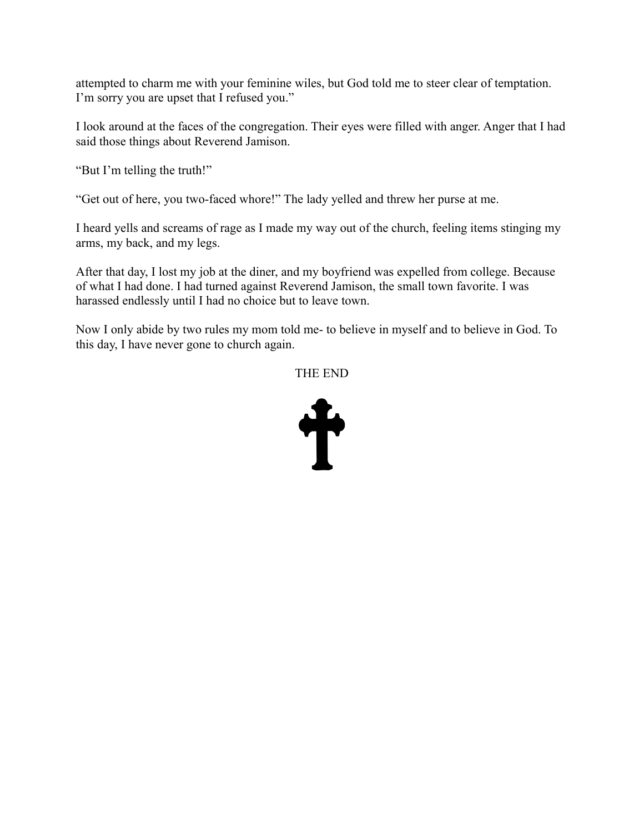attempted to charm me with your feminine wiles, but God told me to steer clear of temptation. I'm sorry you are upset that I refused you."

I look around at the faces of the congregation. Their eyes were filled with anger. Anger that I had said those things about Reverend Jamison.

"But I'm telling the truth!"

"Get out of here, you two-faced whore!" The lady yelled and threw her purse at me.

I heard yells and screams of rage as I made my way out of the church, feeling items stinging my arms, my back, and my legs.

After that day, I lost my job at the diner, and my boyfriend was expelled from college. Because of what I had done. I had turned against Reverend Jamison, the small town favorite. I was harassed endlessly until I had no choice but to leave town.

Now I only abide by two rules my mom told me- to believe in myself and to believe in God. To this day, I have never gone to church again.

### THE END